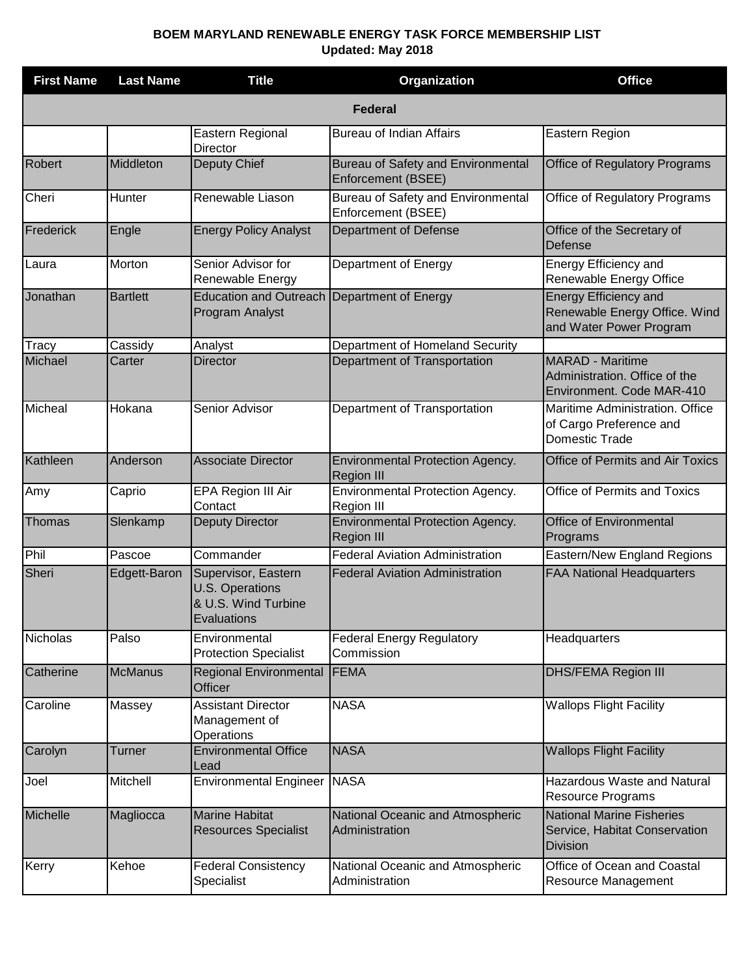## **BOEM MARYLAND RENEWABLE ENERGY TASK FORCE MEMBERSHIP LIST Updated: May 2018**

| <b>First Name</b> | <b>Last Name</b> | <b>Title</b>                                                                 | Organization                                                 | <b>Office</b>                                                                            |  |  |
|-------------------|------------------|------------------------------------------------------------------------------|--------------------------------------------------------------|------------------------------------------------------------------------------------------|--|--|
| <b>Federal</b>    |                  |                                                                              |                                                              |                                                                                          |  |  |
|                   |                  | Eastern Regional<br>Director                                                 | <b>Bureau of Indian Affairs</b>                              | Eastern Region                                                                           |  |  |
| <b>Robert</b>     | Middleton        | Deputy Chief                                                                 | Bureau of Safety and Environmental<br>Enforcement (BSEE)     | <b>Office of Regulatory Programs</b>                                                     |  |  |
| Cheri             | Hunter           | Renewable Liason                                                             | Bureau of Safety and Environmental<br>Enforcement (BSEE)     | Office of Regulatory Programs                                                            |  |  |
| Frederick         | Engle            | <b>Energy Policy Analyst</b>                                                 | Department of Defense                                        | Office of the Secretary of<br>Defense                                                    |  |  |
| Laura             | Morton           | Senior Advisor for<br>Renewable Energy                                       | Department of Energy                                         | Energy Efficiency and<br>Renewable Energy Office                                         |  |  |
| Jonathan          | <b>Bartlett</b>  | <b>Education and Outreach</b><br>Program Analyst                             | Department of Energy                                         | <b>Energy Efficiency and</b><br>Renewable Energy Office. Wind<br>and Water Power Program |  |  |
| Tracy             | Cassidy          | Analyst                                                                      | Department of Homeland Security                              |                                                                                          |  |  |
| Michael           | Carter           | Director                                                                     | Department of Transportation                                 | <b>MARAD - Maritime</b><br>Administration. Office of the<br>Environment. Code MAR-410    |  |  |
| Micheal           | Hokana           | Senior Advisor                                                               | Department of Transportation                                 | Maritime Administration. Office<br>of Cargo Preference and<br>Domestic Trade             |  |  |
| Kathleen          | Anderson         | <b>Associate Director</b>                                                    | Environmental Protection Agency.<br><b>Region III</b>        | <b>Office of Permits and Air Toxics</b>                                                  |  |  |
| Amy               | Caprio           | EPA Region III Air<br>Contact                                                | Environmental Protection Agency.<br>Region III               | Office of Permits and Toxics                                                             |  |  |
| Thomas            | Slenkamp         | <b>Deputy Director</b>                                                       | <b>Environmental Protection Agency.</b><br><b>Region III</b> | <b>Office of Environmental</b><br>Programs                                               |  |  |
| Phil              | Pascoe           | Commander                                                                    | <b>Federal Aviation Administration</b>                       | Eastern/New England Regions                                                              |  |  |
| Sheri             | Edgett-Baron     | Supervisor, Eastern<br>U.S. Operations<br>& U.S. Wind Turbine<br>Evaluations | <b>Federal Aviation Administration</b>                       | <b>FAA National Headquarters</b>                                                         |  |  |
| <b>Nicholas</b>   | Palso            | Environmental<br><b>Protection Specialist</b>                                | <b>Federal Energy Regulatory</b><br>Commission               | Headquarters                                                                             |  |  |
| Catherine         | <b>McManus</b>   | <b>Regional Environmental</b><br>Officer                                     | <b>FEMA</b>                                                  | <b>DHS/FEMA Region III</b>                                                               |  |  |
| Caroline          | Massey           | <b>Assistant Director</b><br>Management of<br>Operations                     | <b>NASA</b>                                                  | <b>Wallops Flight Facility</b>                                                           |  |  |
| Carolyn           | Turner           | <b>Environmental Office</b><br>Lead                                          | <b>NASA</b>                                                  | <b>Wallops Flight Facility</b>                                                           |  |  |
| Joel              | Mitchell         | <b>Environmental Engineer</b>                                                | <b>NASA</b>                                                  | Hazardous Waste and Natural<br><b>Resource Programs</b>                                  |  |  |
| Michelle          | Magliocca        | <b>Marine Habitat</b><br><b>Resources Specialist</b>                         | National Oceanic and Atmospheric<br>Administration           | <b>National Marine Fisheries</b><br>Service, Habitat Conservation<br><b>Division</b>     |  |  |
| Kerry             | Kehoe            | <b>Federal Consistency</b><br>Specialist                                     | National Oceanic and Atmospheric<br>Administration           | Office of Ocean and Coastal<br>Resource Management                                       |  |  |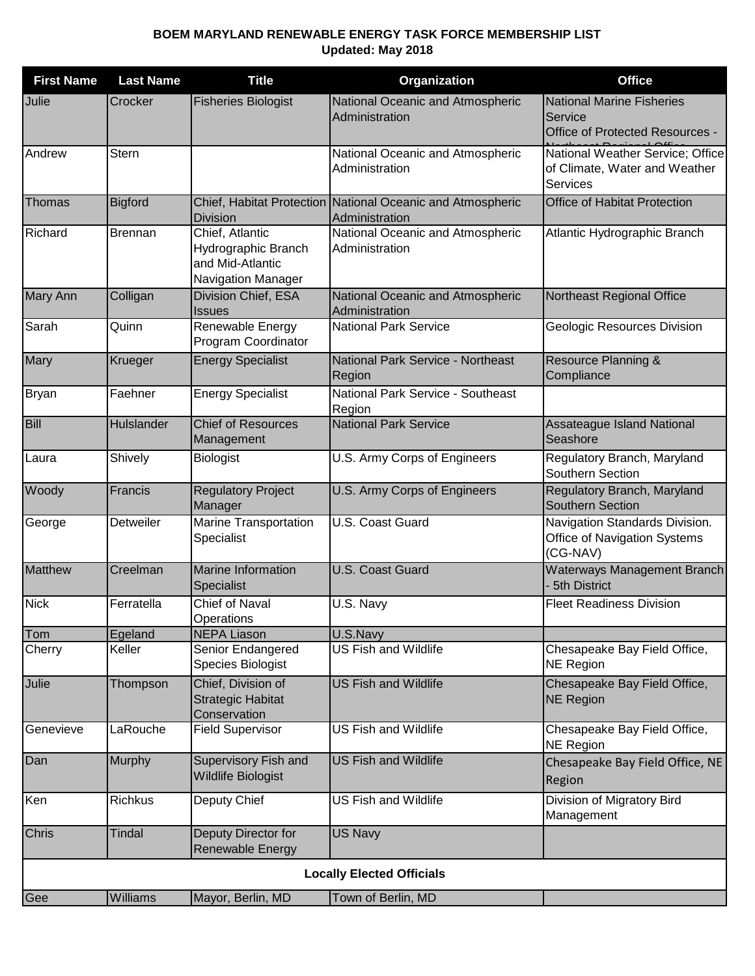## **BOEM MARYLAND RENEWABLE ENERGY TASK FORCE MEMBERSHIP LIST Updated: May 2018**

| <b>First Name</b>                | <b>Last Name</b> | <b>Title</b>                                                                     | Organization                                                                 | <b>Office</b>                                                                        |  |  |
|----------------------------------|------------------|----------------------------------------------------------------------------------|------------------------------------------------------------------------------|--------------------------------------------------------------------------------------|--|--|
| Julie                            | Crocker          | <b>Fisheries Biologist</b>                                                       | National Oceanic and Atmospheric<br>Administration                           | <b>National Marine Fisheries</b><br>Service<br>Office of Protected Resources -       |  |  |
| Andrew                           | <b>Stern</b>     |                                                                                  | National Oceanic and Atmospheric<br>Administration                           | National Weather Service; Office<br>of Climate, Water and Weather<br><b>Services</b> |  |  |
| Thomas                           | <b>Bigford</b>   | <b>Division</b>                                                                  | Chief, Habitat Protection National Oceanic and Atmospheric<br>Administration | Office of Habitat Protection                                                         |  |  |
| Richard                          | <b>Brennan</b>   | Chief, Atlantic<br>Hydrographic Branch<br>and Mid-Atlantic<br>Navigation Manager | National Oceanic and Atmospheric<br>Administration                           | Atlantic Hydrographic Branch                                                         |  |  |
| <b>Mary Ann</b>                  | Colligan         | Division Chief, ESA<br><b>Issues</b>                                             | National Oceanic and Atmospheric<br>Administration                           | Northeast Regional Office                                                            |  |  |
| Sarah                            | Quinn            | Renewable Energy<br>Program Coordinator                                          | <b>National Park Service</b>                                                 | Geologic Resources Division                                                          |  |  |
| <b>Mary</b>                      | Krueger          | <b>Energy Specialist</b>                                                         | National Park Service - Northeast<br>Region                                  | Resource Planning &<br>Compliance                                                    |  |  |
| Bryan                            | Faehner          | <b>Energy Specialist</b>                                                         | National Park Service - Southeast<br>Region                                  |                                                                                      |  |  |
| Bill                             | Hulslander       | <b>Chief of Resources</b><br>Management                                          | <b>National Park Service</b>                                                 | Assateague Island National<br>Seashore                                               |  |  |
| Laura                            | Shively          | <b>Biologist</b>                                                                 | U.S. Army Corps of Engineers                                                 | Regulatory Branch, Maryland<br>Southern Section                                      |  |  |
| Woody                            | Francis          | <b>Regulatory Project</b><br>Manager                                             | U.S. Army Corps of Engineers                                                 | Regulatory Branch, Maryland<br><b>Southern Section</b>                               |  |  |
| George                           | Detweiler        | Marine Transportation<br>Specialist                                              | U.S. Coast Guard                                                             | Navigation Standards Division.<br>Office of Navigation Systems<br>(CG-NAV)           |  |  |
| Matthew                          | Creelman         | <b>Marine Information</b><br>Specialist                                          | <b>U.S. Coast Guard</b>                                                      | Waterways Management Branch<br>5th District                                          |  |  |
| <b>Nick</b>                      | Ferratella       | <b>Chief of Naval</b><br>Operations                                              | U.S. Navy                                                                    | <b>Fleet Readiness Division</b>                                                      |  |  |
| Tom                              | Egeland          | <b>NEPA Liason</b>                                                               | U.S.Navy                                                                     |                                                                                      |  |  |
| Cherry                           | Keller           | Senior Endangered<br>Species Biologist                                           | <b>US Fish and Wildlife</b>                                                  | Chesapeake Bay Field Office,<br><b>NE Region</b>                                     |  |  |
| Julie                            | Thompson         | Chief, Division of<br><b>Strategic Habitat</b><br>Conservation                   | <b>US Fish and Wildlife</b>                                                  | Chesapeake Bay Field Office,<br><b>NE Region</b>                                     |  |  |
| Genevieve                        | LaRouche         | <b>Field Supervisor</b>                                                          | <b>US Fish and Wildlife</b>                                                  | Chesapeake Bay Field Office,<br><b>NE Region</b>                                     |  |  |
| Dan                              | Murphy           | Supervisory Fish and<br><b>Wildlife Biologist</b>                                | <b>US Fish and Wildlife</b>                                                  | Chesapeake Bay Field Office, NE<br>Region                                            |  |  |
| Ken                              | Richkus          | Deputy Chief                                                                     | <b>US Fish and Wildlife</b>                                                  | Division of Migratory Bird<br>Management                                             |  |  |
| <b>Chris</b>                     | <b>Tindal</b>    | Deputy Director for<br>Renewable Energy                                          | <b>US Navy</b>                                                               |                                                                                      |  |  |
| <b>Locally Elected Officials</b> |                  |                                                                                  |                                                                              |                                                                                      |  |  |
| Gee                              | Williams         | Mayor, Berlin, MD                                                                | Town of Berlin, MD                                                           |                                                                                      |  |  |